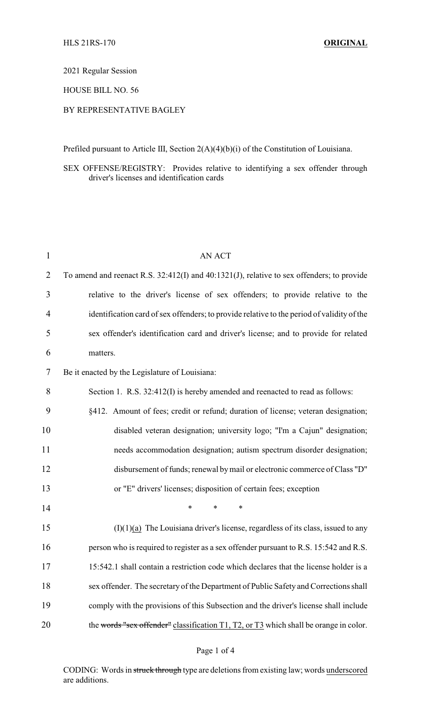2021 Regular Session

HOUSE BILL NO. 56

## BY REPRESENTATIVE BAGLEY

Prefiled pursuant to Article III, Section 2(A)(4)(b)(i) of the Constitution of Louisiana.

## SEX OFFENSE/REGISTRY: Provides relative to identifying a sex offender through driver's licenses and identification cards

| $\mathbf{1}$ | <b>AN ACT</b>                                                                              |
|--------------|--------------------------------------------------------------------------------------------|
| 2            | To amend and reenact R.S. 32:412(I) and 40:1321(J), relative to sex offenders; to provide  |
| 3            | relative to the driver's license of sex offenders; to provide relative to the              |
| 4            | identification card of sex offenders; to provide relative to the period of validity of the |
| 5            | sex offender's identification card and driver's license; and to provide for related        |
| 6            | matters.                                                                                   |
| 7            | Be it enacted by the Legislature of Louisiana:                                             |
| 8            | Section 1. R.S. 32:412(I) is hereby amended and reenacted to read as follows:              |
| 9            | §412. Amount of fees; credit or refund; duration of license; veteran designation;          |
| 10           | disabled veteran designation; university logo; "I'm a Cajun" designation;                  |
| 11           | needs accommodation designation; autism spectrum disorder designation;                     |
| 12           | disbursement of funds; renewal by mail or electronic commerce of Class "D"                 |
| 13           | or "E" drivers' licenses; disposition of certain fees; exception                           |
| 14           | $\ast$<br>*<br>$\ast$                                                                      |
| 15           | $(I)(1)(a)$ The Louisiana driver's license, regardless of its class, issued to any         |
| 16           | person who is required to register as a sex offender pursuant to R.S. 15:542 and R.S.      |
| 17           | 15:542.1 shall contain a restriction code which declares that the license holder is a      |
| 18           | sex offender. The secretary of the Department of Public Safety and Corrections shall       |
| 19           | comply with the provisions of this Subsection and the driver's license shall include       |
| 20           | the words "sex offender" classification T1, T2, or T3 which shall be orange in color.      |

### Page 1 of 4

CODING: Words in struck through type are deletions from existing law; words underscored are additions.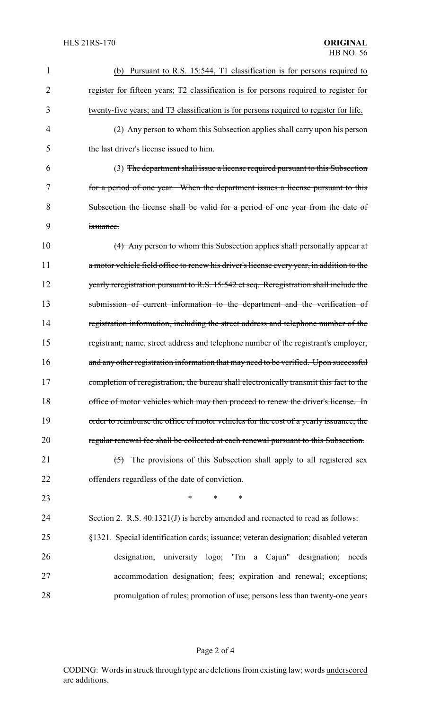| 1  | (b) Pursuant to R.S. 15:544, T1 classification is for persons required to                 |
|----|-------------------------------------------------------------------------------------------|
| 2  | register for fifteen years; T2 classification is for persons required to register for     |
| 3  | twenty-five years; and T3 classification is for persons required to register for life.    |
| 4  | (2) Any person to whom this Subsection applies shall carry upon his person                |
| 5  | the last driver's license issued to him.                                                  |
| 6  | (3) The department shall issue a license required pursuant to this Subsection             |
| 7  | for a period of one year. When the department issues a license pursuant to this           |
| 8  | Subsection the license shall be valid for a period of one year from the date of           |
| 9  | issuance.                                                                                 |
| 10 | (4) Any person to whom this Subsection applies shall personally appear at                 |
| 11 | a motor vehicle field office to renew his driver's license every year, in addition to the |
| 12 | yearly reregistration pursuant to R.S. 15:542 et seq. Reregistration shall include the    |
| 13 | submission of current information to the department and the verification of               |
| 14 | registration information, including the street address and telephone number of the        |
| 15 | registrant; name, street address and telephone number of the registrant's employer,       |
| 16 | and any other registration information that may need to be verified. Upon successful      |
| 17 | completion of reregistration, the bureau shall electronically transmit this fact to the   |
| 18 | office of motor vehicles which may then proceed to renew the driver's license. In         |
| 19 | order to reimburse the office of motor vehicles for the cost of a yearly issuance, the    |
| 20 | regular renewal fee shall be collected at each renewal pursuant to this Subsection.       |
| 21 | The provisions of this Subsection shall apply to all registered sex<br>$\left(5\right)$   |
| 22 | offenders regardless of the date of conviction.                                           |
| 23 | *<br>$\ast$<br>∗                                                                          |
| 24 | Section 2. R.S. 40:1321(J) is hereby amended and reenacted to read as follows:            |
| 25 | §1321. Special identification cards; issuance; veteran designation; disabled veteran      |
| 26 | university logo; "I'm a Cajun" designation;<br>designation;<br>needs                      |
| 27 | accommodation designation; fees; expiration and renewal; exceptions;                      |
| 28 | promulgation of rules; promotion of use; persons less than twenty-one years               |
|    |                                                                                           |

# Page 2 of 4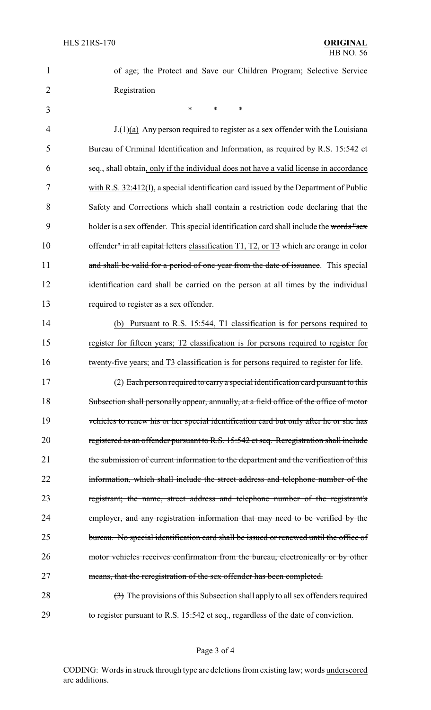| ۹ | ۰. |  |
|---|----|--|
|   |    |  |
|   |    |  |

1 of age; the Protect and Save our Children Program; Selective Service 2 Registration

 $3$  \* \* \*

 $J(1)(a)$  Any person required to register as a sex offender with the Louisiana Bureau of Criminal Identification and Information, as required by R.S. 15:542 et seq., shall obtain, only if the individual does not have a valid license in accordance with R.S. 32:412(I), a special identification card issued by the Department of Public Safety and Corrections which shall contain a restriction code declaring that the 9 holder is a sex offender. This special identification card shall include the words "sex" 10 offender" in all capital letters classification T1, T2, or T3 which are orange in color 11 and shall be valid for a period of one year from the date of issuance. This special identification card shall be carried on the person at all times by the individual required to register as a sex offender. (b) Pursuant to R.S. 15:544, T1 classification is for persons required to register for fifteen years; T2 classification is for persons required to register for twenty-five years; and T3 classification is for persons required to register for life. 17 (2) Each person required to carry a special identification card pursuant to this

18 Subsection shall personally appear, annually, at a field office of the office of motor 19 vehicles to renew his or her special identification card but only after he or she has 20 registered as an offender pursuant to R.S. 15:542 et seq. Reregistration shall include 21 the submission of current information to the department and the verification of this 22 information, which shall include the street address and telephone number of the 23 registrant; the name, street address and telephone number of the registrant's 24 employer, and any registration information that may need to be verified by the 25 bureau. No special identification card shall be issued or renewed until the office of 26 motor vehicles receives confirmation from the bureau, electronically or by other 27 means, that the reregistration of the sex offender has been completed.

28 (3) The provisions of this Subsection shall apply to all sex offenders required 29 to register pursuant to R.S. 15:542 et seq., regardless of the date of conviction.